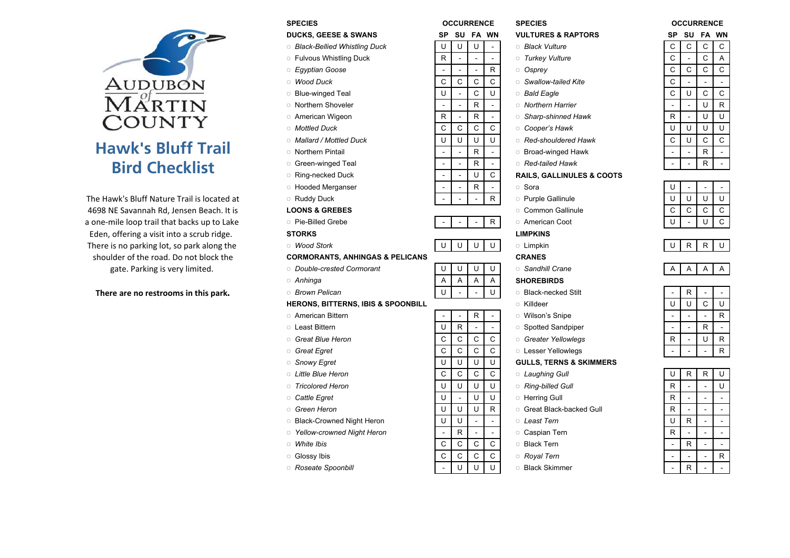# AUDUBON<br>MARTIN **COUNTY** Hawk's Bluff TrailBird Checklist

|                                                                            | <b>SPECIES</b>                                | <b>OCCURRENCE</b>                                 | <b>SPECIES</b>                       | <b>OCCURRENCE</b> |              |                |              |
|----------------------------------------------------------------------------|-----------------------------------------------|---------------------------------------------------|--------------------------------------|-------------------|--------------|----------------|--------------|
|                                                                            | <b>DUCKS, GEESE &amp; SWANS</b>               | SP SU FA WN                                       | <b>VULTURES &amp; RAPTORS</b>        | SP                |              | SU FA WN       |              |
|                                                                            | <b>Black-Bellied Whistling Duck</b>           | U<br>U<br>U<br>$\overline{\phantom{a}}$           | <b>Black Vulture</b>                 | $\mathsf C$       | $\mathsf{C}$ | C              | $\mathsf{C}$ |
|                                                                            | <b>Fulvous Whistling Duck</b>                 | R                                                 | <b>Turkey Vulture</b>                | $\mathsf C$       |              | $\mathsf{C}$   | $\mathsf{A}$ |
|                                                                            | Egyptian Goose                                | R                                                 | Osprey                               | $\mathsf C$       | ${\rm C}$    | $\mathsf{C}$   | $\mathsf{C}$ |
| Audubon                                                                    | <b>Wood Duck</b>                              | $\mathsf{C}$<br>$\mathsf C$<br>$\mathsf{C}$<br>C  | Swallow-tailed Kite                  | $\mathsf C$       |              |                |              |
|                                                                            | <b>Blue-winged Teal</b>                       | $\cup$<br>$\mathsf{C}$<br>U                       | <b>Bald Eagle</b>                    | C                 | $\cup$       | $\mathsf C$    | $\mathsf{C}$ |
| $\overline{\text{M}}\overset{\circ}{\text{A}}\overset{\circ}{\text{RTIN}}$ | <b>O</b> Northern Shoveler                    | $\mathsf{R}$                                      | <b>O</b> Northern Harrier            |                   |              | $\cup$         | $\mathsf{R}$ |
| COUNTY                                                                     | <b>American Wigeon</b>                        | R<br>R                                            | Sharp-shinned Hawk                   | $\mathsf{R}$      | $\omega$     | U              | U            |
|                                                                            | <b>Mottled Duck</b>                           | $\mathsf{C}$<br>$\mathsf{C}$<br>$\mathsf{C}$<br>C | Cooper's Hawk                        | U                 | $\cup$       | U              | U            |
|                                                                            | Mallard / Mottled Duck                        | $\cup$<br>U<br>U<br>U                             | Red-shouldered Hawk                  | C                 | U            | $\mathsf{C}$   | $\mathbf C$  |
| <b>Hawk's Bluff Trail</b>                                                  | <b>O</b> Northern Pintail                     | R                                                 | <b>Broad-winged Hawk</b>             |                   |              | $\mathsf{R}$   |              |
| <b>Bird Checklist</b>                                                      | <b>Green-winged Teal</b>                      | $\mathsf{R}$                                      | Red-tailed Hawk                      |                   |              | $\mathsf{R}$   |              |
|                                                                            | Ring-necked Duck                              | U<br>C                                            | <b>RAILS, GALLINULES &amp; COOTS</b> |                   |              |                |              |
|                                                                            | <b>BE</b> Hooded Merganser                    | R                                                 | Sora                                 | U                 |              |                |              |
| The Hawk's Bluff Nature Trail is located at                                | Ruddy Duck                                    | R                                                 | <b>Purple Gallinule</b>              | U                 | $\sf U$      | U              | U            |
| 4698 NE Savannah Rd, Jensen Beach. It is                                   | <b>LOONS &amp; GREBES</b>                     |                                                   | <b>Common Gallinule</b>              | C                 | $\mathsf C$  | $\mathbf C$    | $\mathbf C$  |
| a one-mile loop trail that backs up to Lake                                | <b>Pie-Billed Grebe</b>                       | $\mathsf{R}$                                      | <b>American Coot</b>                 | U                 |              | U              | $\mathsf{C}$ |
| Eden, offering a visit into a scrub ridge.                                 | <b>STORKS</b>                                 |                                                   | <b>LIMPKINS</b>                      |                   |              |                |              |
| There is no parking lot, so park along the                                 | <b>Mood Stork</b>                             | U<br>U<br>U<br>U                                  | <b>c</b> Limpkin                     | U                 | $\mathsf{R}$ | ${\sf R}$      | U            |
| shoulder of the road. Do not block the                                     | <b>CORMORANTS, ANHINGAS &amp; PELICANS</b>    |                                                   | <b>CRANES</b>                        |                   |              |                |              |
| gate. Parking is very limited.                                             | <i>Double-crested Cormorant</i>               | U<br>U<br>U<br>U                                  | Sandhill Crane                       | A                 | A            | Α              | A            |
|                                                                            | ○ Anhinga                                     | Α<br>Α<br>Α<br>A                                  | <b>SHOREBIRDS</b>                    |                   |              |                |              |
| There are no restrooms in this park.                                       | <b>Brown Pelican</b>                          | $\cup$<br>U                                       | <b>Black-necked Stilt</b>            |                   | $\mathsf{R}$ |                |              |
|                                                                            | <b>HERONS, BITTERNS, IBIS &amp; SPOONBILL</b> |                                                   | <b>Killdeer</b>                      | U                 | $\sf U$      | $\mathsf{C}$   | U            |
|                                                                            | <b>C</b> American Bittern                     | R                                                 | <b>O</b> Wilson's Snipe              |                   |              |                | $\mathsf{R}$ |
|                                                                            | <b>C</b> Least Bittern                        | $\mathsf{R}$<br>U                                 | Spotted Sandpiper                    |                   | $\sim$       | $\mathsf{R}$   |              |
|                                                                            | Great Blue Heron                              | $\mathsf{C}$<br>$\mathsf{C}$<br>$\mathsf C$<br>C  | <b>Greater Yellowlegs</b>            | R                 | $\omega$     | U              | $\mathsf{R}$ |
|                                                                            | <b>Great Egret</b>                            | $\mathsf{C}$<br>$\mathsf{C}$<br>C<br>C            | <b>Lesser Yellowlegs</b>             |                   |              |                | $\mathsf{R}$ |
|                                                                            | Snowy Egret                                   | $\cup$<br>U<br>U<br>U                             | <b>GULLS, TERNS &amp; SKIMMERS</b>   |                   |              |                |              |
|                                                                            | <b>C</b> Little Blue Heron                    | $\mathsf{C}$<br>$\mathsf{C}$<br>$\mathsf{C}$<br>C | <b>Laughing Gull</b>                 | U                 | $\mathsf{R}$ | $\mathsf{R}$   | U            |
|                                                                            | <b>Tricolored Heron</b>                       | $\cup$<br>$\cup$<br>U<br>U                        | Ring-billed Gull                     | R                 |              |                | U            |
|                                                                            | <b>Cattle Egret</b>                           | U<br>U<br>U                                       | <b>C</b> Herring Gull                | $\mathsf{R}$      |              |                |              |
|                                                                            | Green Heron                                   | U<br>U<br>U<br>$\mathsf{R}$                       | <b>Creat Black-backed Gull</b>       | $\mathsf{R}$      |              |                |              |
|                                                                            | <b>Black-Crowned Night Heron</b>              | U<br>U                                            | <b>Least Tern</b>                    | U                 | ${\sf R}$    | $\overline{a}$ | $\sim$       |
|                                                                            | Yellow-crowned Night Heron                    | $\mathsf{R}$                                      | Caspian Tern                         | $\mathsf{R}$      |              |                |              |
|                                                                            | <b>Mhite Ibis</b>                             | $\mathsf{C}$<br>C<br>C<br>C                       | <b>Black Tern</b>                    |                   | $\mathsf{R}$ |                |              |
|                                                                            | $\land$ Closey this                           | $\sim$<br>$\cap$<br>$\cap$<br>$\cap$              | Povel Tern                           |                   |              |                | $\Box$       |

| orcuico                            |                          | UUUUNNEIIUE              |                |                          | OFEVIES                              | uu             |                          | UUNNEIVUE                |                          |
|------------------------------------|--------------------------|--------------------------|----------------|--------------------------|--------------------------------------|----------------|--------------------------|--------------------------|--------------------------|
| DUCKS, GEESE & SWANS               | SP                       | SU                       |                | <b>FA WN</b>             | <b>VULTURES &amp; RAPTORS</b>        | SP             | SU                       | <b>FA WN</b>             |                          |
| ි Black-Bellied Whistling Duck     | U                        | U                        | U              |                          | <b>Black Vulture</b>                 | C              | C                        | С                        | С                        |
| <b>Fulvous Whistling Duck</b>      | R                        | $\overline{a}$           | L.             | $\sim$                   | <b>Turkey Vulture</b>                | C              | $\overline{a}$           | C                        | Α                        |
| ் Egyptian Goose                   | $\overline{\phantom{a}}$ | $\overline{\phantom{a}}$ | $\equiv$       | R                        | Osprey                               | C              | С                        | C                        | С                        |
| Mood Duck                          | С                        | C                        | C              | С                        | Swallow-tailed Kite                  | C              | $\blacksquare$           |                          |                          |
| <b>Blue-winged Teal</b>            | U                        | $\overline{a}$           | C              | U                        | <b>Bald Eagle</b>                    | C              | U                        | C                        | C                        |
| <b>Northern Shoveler</b>           | $\blacksquare$           | ÷,                       | R              |                          | <b>O</b> Northern Harrier            |                | $\blacksquare$           | U                        | R                        |
| <b>American Wigeon</b>             | R                        | $\sim$                   | R              | $\sim$                   | Sharp-shinned Hawk                   | R              | $\blacksquare$           | U                        | U                        |
| ം Mottled Duck                     | С                        | C                        | C              | C                        | Cooper's Hawk                        | U              | U                        | U                        | U                        |
| ം Mallard / Mottled Duck           | U                        | U                        | U              | U                        | Red-shouldered Hawk                  | C              | U                        | C                        | С                        |
| <b>Northern Pintail</b>            | ÷,                       | ÷,                       | R              |                          | <b>Broad-winged Hawk</b>             |                | $\overline{\phantom{a}}$ | R                        | $\equiv$                 |
| <b>Green-winged Teal</b>           | $\overline{a}$           | $\overline{a}$           | R              | $\overline{a}$           | <b>C</b> Red-tailed Hawk             | $\overline{a}$ | $\overline{a}$           | R.                       | $\equiv$                 |
| ○ Ring-necked Duck                 | $\overline{\phantom{a}}$ | $\overline{\phantom{a}}$ | U              | С                        | <b>RAILS, GALLINULES &amp; COOTS</b> |                |                          |                          |                          |
| <b>Hooded Merganser</b>            | ÷,                       | $\overline{\phantom{a}}$ | R              | $\overline{\phantom{a}}$ | Sora                                 | U              | $\overline{\phantom{a}}$ | $\sim$                   |                          |
| ୁ Ruddy Duck                       |                          |                          |                | R                        | <b>Purple Gallinule</b>              | U              | U                        | U                        | U                        |
| <b>LOONS &amp; GREBES</b>          |                          |                          |                |                          | <b>Common Gallinule</b>              | C              | C                        | C                        | С                        |
| ା Pie-Billed Grebe                 |                          | ÷,                       | $\blacksquare$ | R                        | <b>American Coot</b>                 | U              | $\overline{\phantom{a}}$ | U                        | C                        |
| STORKS                             |                          |                          |                |                          | <b>LIMPKINS</b>                      |                |                          |                          |                          |
| ୁ Wood Stork                       | U                        | U                        | U              | U                        | <b>Limpkin</b>                       | U              | R                        | R                        | U                        |
| CORMORANTS, ANHINGAS & PELICANS    |                          |                          |                |                          | <b>CRANES</b>                        |                |                          |                          |                          |
| <b>Double-crested Cormorant</b>    | U                        | U                        | U              | U                        | Sandhill Crane                       | Α              | Α                        | Α                        | Α                        |
| െ Anhinga                          | Α                        | Α                        | Α              | Α                        | <b>SHOREBIRDS</b>                    |                |                          |                          |                          |
| ் Brown Pelican                    | U                        |                          |                | U                        | <b>Black-necked Stilt</b>            |                | R                        |                          |                          |
| HERONS, BITTERNS, IBIS & SPOONBILL |                          |                          |                |                          | <b>Killdeer</b>                      | U              | U                        | C                        | U                        |
| <sup>o</sup> American Bittern      | ÷                        | $\overline{a}$           | R              |                          | <b>O</b> Wilson's Snipe              |                | ÷.                       | $\sim$                   | R                        |
| ം Least Bittern                    | U                        | R                        | $\blacksquare$ | $\overline{a}$           | Spotted Sandpiper                    |                | $\sim$                   | R                        | $\blacksquare$           |
| ் Great Blue Heron                 | C                        | C                        | C              | C                        | <b>Greater Yellowlegs</b>            | R              | $\blacksquare$           | U                        | R                        |
| ි Great Egret                      | C                        | C                        | C              | С                        | <b>Lesser Yellowlegs</b>             |                | $\overline{a}$           |                          | R                        |
| Snowy Egret                        | U                        | U                        | U              | U                        | <b>GULLS, TERNS &amp; SKIMMERS</b>   |                |                          |                          |                          |
| ා Little Blue Heron                | C                        | C                        | C              | С                        | <b>Laughing Gull</b>                 | U              | R                        | R                        | U                        |
| Tricolored Heron                   | U                        | U                        | U              | U                        | Ring-billed Gull                     | R              | $\blacksquare$           | $\overline{\phantom{a}}$ | U                        |
| Cattle Egret                       | U                        | ÷,                       | U              | U                        | <b>Herring Gull</b>                  | R              | $\blacksquare$           | $\sim$                   |                          |
| ் Green Heron                      | U                        | U                        | U              | R                        | <b>Creat Black-backed Gull</b>       | R              | $\blacksquare$           |                          |                          |
| Black-Crowned Night Heron          | U                        | U                        | $\blacksquare$ | $\sim$                   | <b>∟east Tern</b>                    | U              | R                        | $\sim$                   | $\overline{\phantom{a}}$ |
| Yellow-crowned Night Heron         | $\overline{\phantom{a}}$ | R                        | $\blacksquare$ |                          | <b>Caspian Tern</b>                  | R              | $\sim$                   | $\sim$                   |                          |
| ் <i>White Ibis</i>                | C                        | C                        | C              | C                        | <b>Black Tern</b>                    |                | R                        | $\overline{a}$           |                          |
| ୁ Glossy Ibis                      | C                        | C                        | $\mathsf{C}$   | C                        | <b>Royal Tern</b>                    |                |                          | $\overline{\phantom{a}}$ | R                        |
| <b>Roseate Spoonbill</b>           | $\overline{a}$           | U                        | U              | U                        | <b>Black Skimmer</b>                 |                | R                        |                          | $\overline{\phantom{a}}$ |
|                                    |                          |                          |                |                          |                                      |                |                          |                          |                          |

| יוכ | ่งบ | FА | VV N |
|-----|-----|----|------|
| С   | С   | С  | С    |
| С   |     | С  | A    |
| C   | С   | С  | С    |
| С   |     |    |      |
| C   | U   | C  | С    |
|     |     | U  | R    |
| R   |     | Ù  | U    |
| Ù   | Ù   | Ù  | Ù    |
| C   | Ù   | Ċ  | Ć    |
|     |     | R  |      |
|     |     | R  |      |

| н |   |   |    |
|---|---|---|----|
|   | П |   | IJ |
| Ĉ | e | C | ∷  |
|   |   |   |    |
|   |   |   |    |

|--|

|   | R |   |   |
|---|---|---|---|
| U | U | C | U |
|   |   |   | R |
|   |   | R |   |
| R |   | U | R |
|   |   |   | R |

| U | R | R | U |
|---|---|---|---|
| R |   |   | U |
| R |   |   |   |
| R |   |   |   |
| U | R |   |   |
| R |   |   |   |
|   | R |   |   |
|   |   |   | R |
|   | R |   |   |

|   |   | R |  |
|---|---|---|--|
|   |   | R |  |
|   |   |   |  |
| U |   |   |  |
| Ū | Ū | Ū |  |
|   |   |   |  |